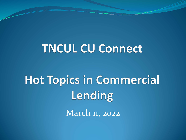#### **TNCUL CU Connect**

# **Hot Topics in Commercial** Lending

March 11, 2022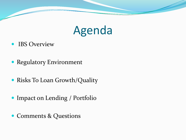

- IBS Overview
- Regulatory Environment
- Risks To Loan Growth/Quality
- Impact on Lending / Portfolio
- Comments & Questions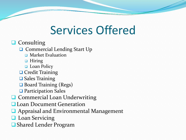### Services Offered

#### $\Box$  Consulting

**□** Commercial Lending Start Up

- **D** Market Evaluation
- **D** Hiring
- **Q** Loan Policy
- **Q** Credit Training
- **□ Sales Training**
- **□ Board Training (Regs)**
- **□** Participation Sales
- **Q** Commercial Loan Underwriting
- **Loan Document Generation**
- **Q** Appraisal and Environmental Management
- **Loan Servicing**
- Shared Lender Program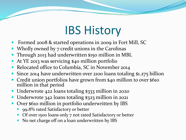### IBS History

- Formed 2008 & started operations in 2009 in Fort Mill, SC
- Wholly owned by 7 credit unions in the Carolinas
- Through 2013 had underwritten \$150 million in MBL
- At YE 2013 was servicing \$40 million portfolio
- Relocated office to Columbia, SC in November 2014
- Since 2014 have underwritten over 2100 loans totaling \$1.275 billion
- Credit union portfolios have grown from \$40 million to over \$610 million in that period
- Underwrote 422 loans totaling \$333 million in 2020
- Underwrote 342 loans totaling \$323 million in 2021
- Over \$610 million in portfolio underwritten by IBS
	- 99.8% rated Satisfactory or better
	- Of over 1500 loans only 7 not rated Satisfactory or better
	- No net charge off on a loan underwritten by IBS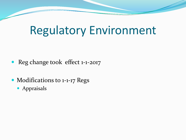### Regulatory Environment

- Reg change took effect 1-1-2017
- Modifications to 1-1-17 Regs
	- **•** Appraisals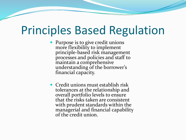#### Principles Based Regulation

- Purpose is to give credit unions more flexibility to implement<br>principle-based risk management processes and policies and staff to maintain a comprehensive understanding of the borrower's financial capacity.
- Credit unions must establish risk tolerances at the relationship and overall portfolio levels to ensure that the risks taken are consistent with prudent standards within the managerial and financial capability of the credit union.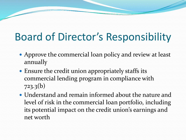### Board of Director's Responsibility

- Approve the commercial loan policy and review at least annually
- Ensure the credit union appropriately staffs its commercial lending program in compliance with 723.3(b)
- Understand and remain informed about the nature and level of risk in the commercial loan portfolio, including its potential impact on the credit union's earnings and net worth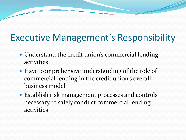#### Executive Management's Responsibility

- Understand the credit union's commercial lending activities
- Have comprehensive understanding of the role of commercial lending in the credit union's overall business model
- Establish risk management processes and controls necessary to safely conduct commercial lending activities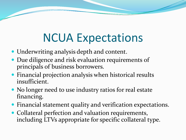## NCUA Expectations

- Underwriting analysis depth and content.
- Due diligence and risk evaluation requirements of principals of business borrowers.
- Financial projection analysis when historical results insufficient.
- No longer need to use industry ratios for real estate financing.
- Financial statement quality and verification expectations.
- Collateral perfection and valuation requirements, including LTVs appropriate for specific collateral type.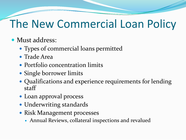### The New Commercial Loan Policy

- Must address:
	- Types of commercial loans permitted
	- Trade Area
	- Portfolio concentration limits
	- Single borrower limits
	- Qualifications and experience requirements for lending staff
	- Loan approval process
	- Underwriting standards
	- Risk Management processes
		- Annual Reviews, collateral inspections and revalued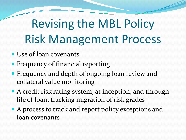# Revising the MBL Policy Risk Management Process

- Use of loan covenants
- Frequency of financial reporting
- Frequency and depth of ongoing loan review and collateral value monitoring
- A credit risk rating system, at inception, and through life of loan; tracking migration of risk grades
- A process to track and report policy exceptions and loan covenants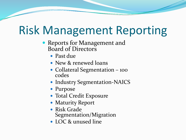### Risk Management Reporting

- Reports for Management and Board of Directors
	- Past due
	- New & renewed loans
	- Collateral Segmentation 100 codes
	- Industry Segmentation-NAICS
	- Purpose
	- Total Credit Exposure
	- Maturity Report
	- Risk Grade Segmentation/Migration
	- LOC & unused line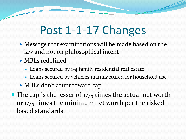### Post 1-1-17 Changes

- Message that examinations will be made based on the law and not on philosophical intent
- MBLs redefined
	- Loans secured by 1-4 family residential real estate
	- Loans secured by vehicles manufactured for household use
- MBLs don't count toward cap
- The cap is the lesser of 1.75 times the actual net worth or 1.75 times the minimum net worth per the risked based standards.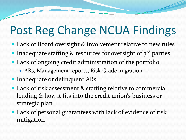## Post Reg Change NCUA Findings

- Lack of Board oversight & involvement relative to new rules
- Inadequate staffing  $\&$  resources for oversight of  $3^{rd}$  parties
- Lack of ongoing credit administration of the portfolio
	- ARs, Management reports, Risk Grade migration
- **Inadequate or delinquent ARs**
- Lack of risk assessment & staffing relative to commercial lending & how it fits into the credit union's business or strategic plan
- Lack of personal guarantees with lack of evidence of risk mitigation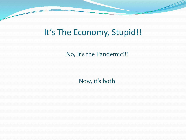#### It's The Economy, Stupid!!

No, It's the Pandemic!!!

Now, it's both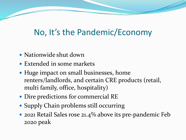#### No, It's the Pandemic/Economy

- Nationwide shut down
- Extended in some markets
- Huge impact on small businesses, home renters/landlords, and certain CRE products (retail, multi family, office, hospitality)
- Dire predictions for commercial RE
- Supply Chain problems still occurring
- 2021 Retail Sales rose 21.4% above its pre-pandemic Feb 2020 peak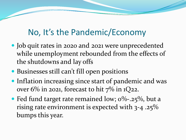#### No, It's the Pandemic/Economy

- Job quit rates in 2020 and 2021 were unprecedented while unemployment rebounded from the effects of the shutdowns and lay offs
- Businesses still can't fill open positions
- Inflation increasing since start of pandemic and was over  $6\%$  in 2021, forecast to hit  $7\%$  in  $1Q$ 22.
- Fed fund target rate remained low;  $0\%$ -.25%, but a rising rate environment is expected with 3-4 .25% bumps this year.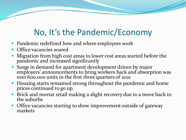#### No, It's the Pandemic/Economy

- Pandemic redefined how and where employees work
- Office vacancies soared
- Migration from high cost areas to lower cost areas started before the pandemic and increased significantly
- Surge in demand for apartment development driven by major employers' announcements to bring workers back and absorption was over 600,000 units in the first three quarters of 2021
- Housing starts remained strong throughout the pandemic and home prices continued to go up.
- Brick and mortar retail making a slight recovery due to a move back to the suburbs
- Office vacancies starting to show improvement outside of gateway markets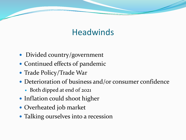#### **Headwinds**

- Divided country/government
- Continued effects of pandemic
- Trade Policy/Trade War
- Deterioration of business and/or consumer confidence
	- Both dipped at end of 2021
- Inflation could shoot higher
- Overheated job market
- Talking ourselves into a recession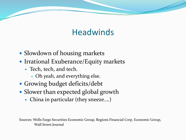#### **Headwinds**

- Slowdown of housing markets
- Irrational Exuberance/Equity markets
	- Tech, tech, and tech.
		- Oh yeah, and everything else.
- Growing budget deficits/debt
- Slower than expected global growth
	- China in particular (they sneeze….)

Sources: Wells Fargo Securities Economic Group, Regions Financial Corp. Economic Group, Wall Street Journal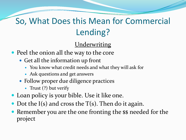#### So, What Does this Mean for Commercial Lending?

**Underwriting** 

- Peel the onion all the way to the core
	- Get all the information up front
		- You know what credit needs and what they will ask for
		- Ask questions and get answers
	- Follow proper due diligence practices
		- Trust (?) but verify
- Loan policy is your bible. Use it like one.
- Dot the I(s) and cross the  $T(s)$ . Then do it again.
- Remember you are the one fronting the \$\$ needed for the project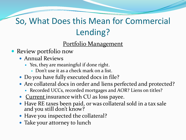#### So, What Does this Mean for Commercial Lending?

#### Portfolio Management

- Review portfolio now
	- Annual Reviews
		- Yes, they are meaningful if done right.
			- Don't use it as a check mark on a list.
	- Do you have fully executed docs in file?
	- Are collateral docs in order and liens perfected and protected?
		- Recorded UCCs, recorded mortgages and AOR? Liens on titles?
	- Current insurance with CU as loss payee.
	- Have RE taxes been paid, or was collateral sold in a tax sale and you still don't know?
	- Have you inspected the collateral?
	- Take your attorney to lunch